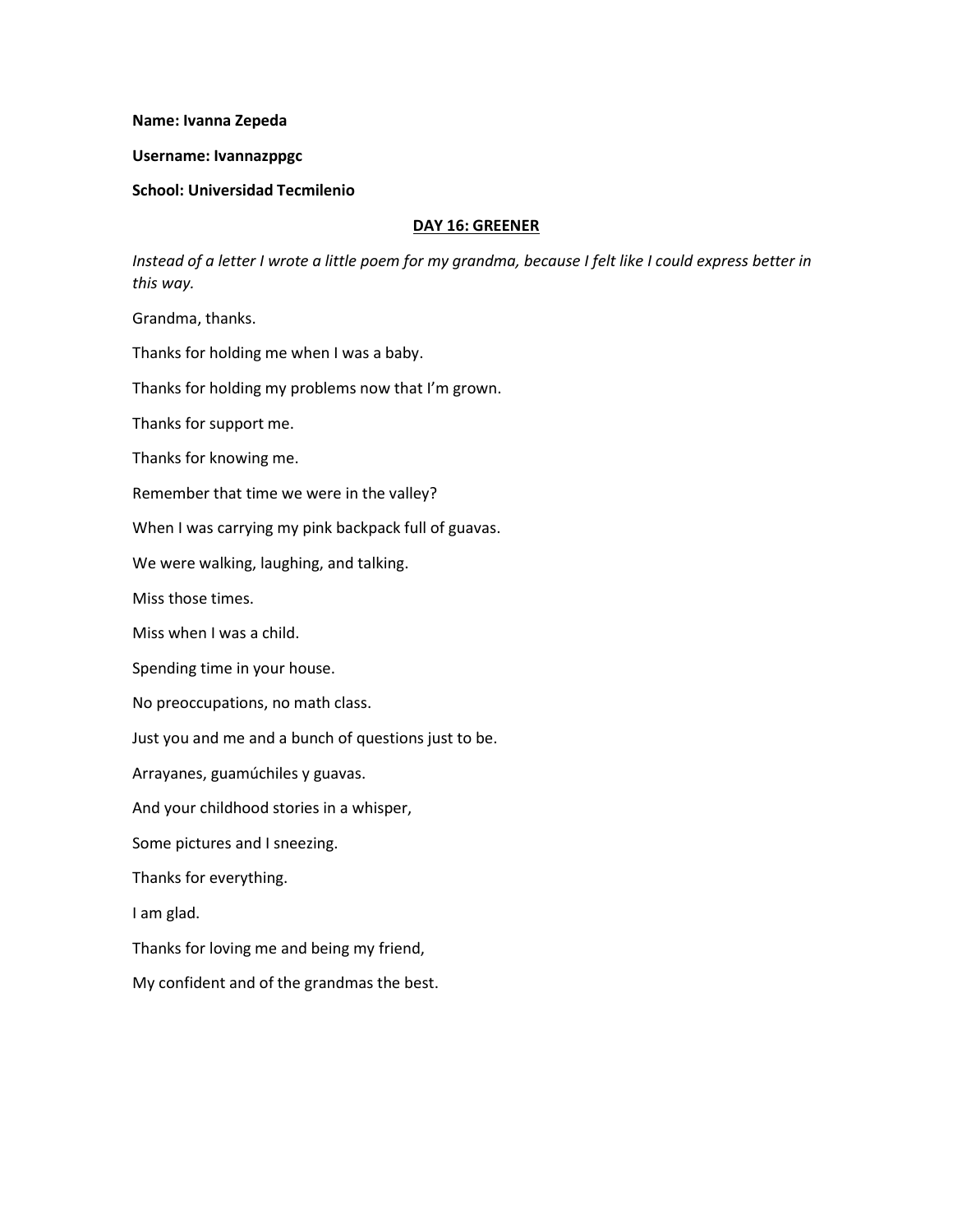#### **Name: Ivanna Zepeda**

### **Username: Ivannazppgc**

## **School: Universidad Tecmilenio**

### **DAY 16: GREENER**

*Instead of a letter I wrote a little poem for my grandma, because I felt like I could express better in this way.*

Grandma, thanks.

Thanks for holding me when I was a baby.

Thanks for holding my problems now that I'm grown.

Thanks for support me.

Thanks for knowing me.

Remember that time we were in the valley?

When I was carrying my pink backpack full of guavas.

We were walking, laughing, and talking.

Miss those times.

Miss when I was a child.

Spending time in your house.

No preoccupations, no math class.

Just you and me and a bunch of questions just to be.

Arrayanes, guamúchiles y guavas.

And your childhood stories in a whisper,

Some pictures and I sneezing.

Thanks for everything.

I am glad.

Thanks for loving me and being my friend,

My confident and of the grandmas the best.